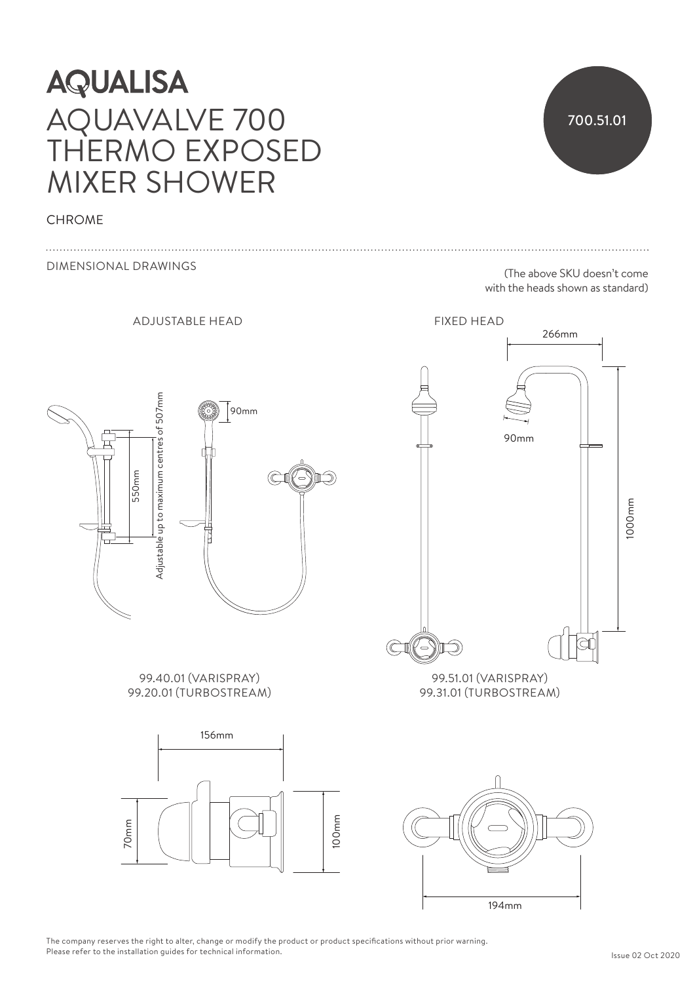# **AQUALISA** AQUAVALVE 700 THERMO EXPOSED MIXER SHOWER

### **CHROME**



The company reserves the right to alter, change or modify the product or product specifications without prior warning.<br>Please refer to the installation guides for technical information. The company reserves the right to alter, change or modify the product or product specifications without prior warning.<br>Please refer to the installation guides for technical information.

[CODE] 700.51.01